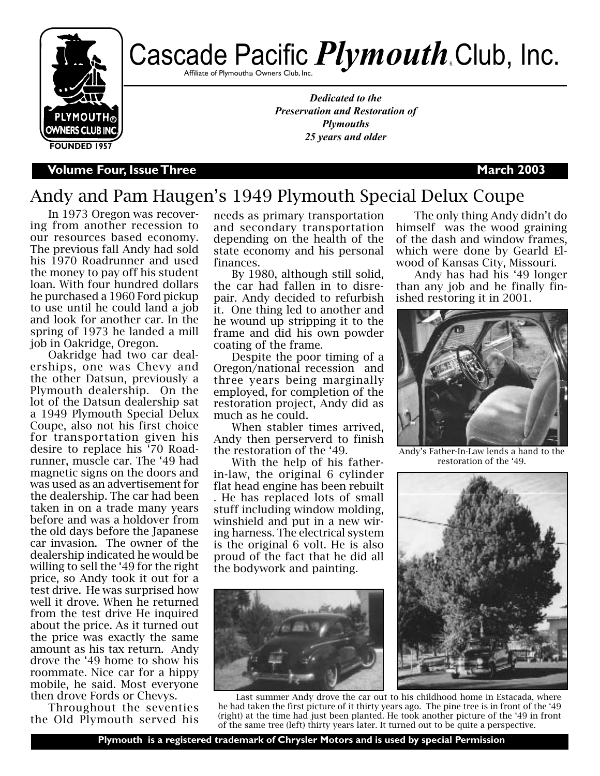

# Cascade Pacific *Plymouth* Club, Inc.

Affiliate of Plymouth@ Owners Club, Inc.

*Dedicated to the Preservation and Restoration of Plymouths 25 years and older*

**V**olume Four, Issue Three **March 2003** 

## Andy and Pam Haugen's 1949 Plymouth Special Delux Coupe

In 1973 Oregon was recovering from another recession to our resources based economy. The previous fall Andy had sold his 1970 Roadrunner and used the money to pay off his student loan. With four hundred dollars he purchased a 1960 Ford pickup to use until he could land a job and look for another car. In the spring of 1973 he landed a mill job in Oakridge, Oregon.

Oakridge had two car dealerships, one was Chevy and the other Datsun, previously a Plymouth dealership. On the lot of the Datsun dealership sat a 1949 Plymouth Special Delux Coupe, also not his first choice for transportation given his desire to replace his '70 Roadrunner, muscle car. The '49 had magnetic signs on the doors and was used as an advertisement for the dealership. The car had been taken in on a trade many years before and was a holdover from the old days before the Japanese car invasion. The owner of the dealership indicated he would be willing to sell the '49 for the right price, so Andy took it out for a test drive. He was surprised how well it drove. When he returned from the test drive He inquired about the price. As it turned out the price was exactly the same amount as his tax return. Andy drove the '49 home to show his roommate. Nice car for a hippy mobile, he said. Most everyone then drove Fords or Chevys.

Throughout the seventies the Old Plymouth served his needs as primary transportation and secondary transportation depending on the health of the state economy and his personal finances.

By 1980, although still solid, the car had fallen in to disrepair. Andy decided to refurbish it. One thing led to another and he wound up stripping it to the frame and did his own powder coating of the frame.

Despite the poor timing of a Oregon/national recession and three years being marginally employed, for completion of the restoration project, Andy did as much as he could.

When stabler times arrived, Andy then perserverd to finish the restoration of the '49.

With the help of his fatherin-law, the original 6 cylinder flat head engine has been rebuilt . He has replaced lots of small stuff including window molding, winshield and put in a new wiring harness. The electrical system is the original 6 volt. He is also proud of the fact that he did all the bodywork and painting.



Last summer Andy drove the car out to his childhood home in Estacada, where he had taken the first picture of it thirty years ago. The pine tree is in front of the '49 (right) at the time had just been planted. He took another picture of the '49 in front of the same tree (left) thirty years later. It turned out to be quite a perspective.

The only thing Andy didn't do himself was the wood graining of the dash and window frames, which were done by Gearld Elwood of Kansas City, Missouri.

Andy has had his '49 longer than any job and he finally finished restoring it in 2001.



Andy's Father-In-Law lends a hand to the restoration of the '49.

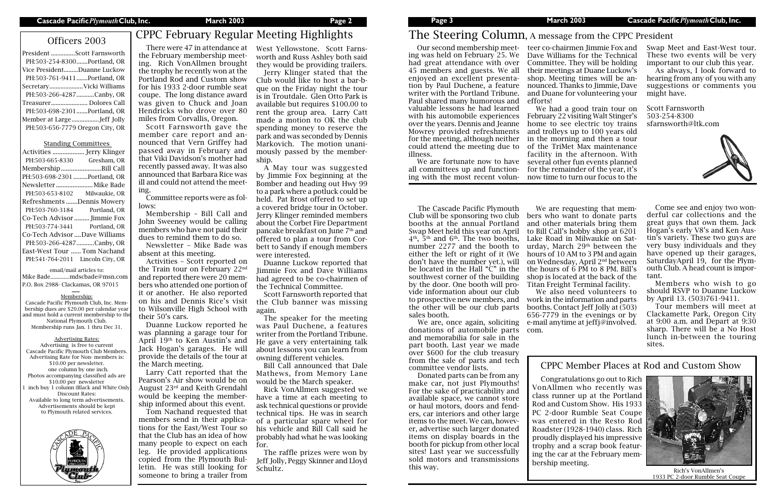President ...............Scott Farnsworth PH:503-254-8300.......Portland, OR Vice President.........Duanne Luckow PH:503-761-9411.......Portland, OR Secretary.....................Vicki Williams PH:503-266-4287...........Canby, OR Treasurer....................... Dolores Call PH:503-698-2301.......Portland, OR Member at Large.................Jeff Jolly PH:503-656-7779 Oregon City, OR

Standing Committees Activities ................... Jerry Klinger PH:503-665-8330 Gresham, OR Membership........................Bill Call PH:503-698-2301.........Portland, OR Newsletter ......................Mike Bade PH:503-653-8102 Milwaukie, OR Refreshments .......Dennis Mowery PH:503-760-3184 Portland, OR Co-Tech Advisor ......... Jimmie Fox PH:503-774-3441 Portland, OR Co-Tech Advisor ....Dave Williams PH:503-266-4287...........Canby, OR East-West Tour ......Tom Nachand PH:541-764-2011 Lincoln City, OR email/mail articles to: Mike Bade..............mdscbade@msn.com P.O. Box 2988- Clackamas, OR 97015 Membership: Cascade Pacific Plymouth Club, Inc. Membership dues are \$20.00 per calendar year and must hold a current membership to th National Plymouth Club. Membership runs Jan. 1 thru Dec 31. Advertising Rates: Advertising is free to current Cascade Pacific Plymouth Club Members. Advertising Rate for Non- members is: \$10.00 per newsletter. one column by one inch. Photos accompanying classified ads are \$10.00 per newsletter inch buy 1 column (Black and White Only Discount Rates: Available to long term advertisements. Advertisements should be kept to Plymouth related services.

# Officers 2003 CPPC February Regular Meeting Highlights

There were 47 in attendance at the February membership meeting. Rich VonAllmen brought the trophy he recently won at the Portland Rod and Custom show for his 1933 2-door rumble seat coupe. The long distance award was given to Chuck and Joan Hendricks who drove over 80 miles from Corvallis, Oregon.

Scott Farnsworth gave the member care report and announced that Vern Griffey had passed away in February and that Viki Davidson's mother had recently passed away. It was also announced that Barbara Rice was ill and could not attend the meeting.

Committee reports were as follows:

Membership – Bill Call and John Sweeney would be calling members who have not paid their dues to remind them to do so.

Newsletter – Mike Bade was absent at this meeting.

Activities – Scott reported on the Train tour on February 22nd and reported there were 20 members who attended one portion of it or another. He also reported on his and Dennis Rice's visit to Wilsonville High School with their 50's cars.

Duanne Luckow reported he was planning a garage tour for April 19th to Ken Austin's and Jack Hogan's garages. He will provide the details of the tour at the March meeting.

Larry Catt reported that the Pearson's Air show would be on August 23rd and Keith Grendahl would be keeping the membership informed about this event.

Tom Nachand requested that members send in their applications for the East/West Tour so that the Club has an idea of how many people to expect on each leg. He provided applications copied from the Plymouth Bulletin. He was still looking for someone to bring a trailer from

West Yellowstone. Scott Farnsworth and Russ Ashley both said they would be providing trailers.

Jerry Klinger stated that the Club would like to host a bar-bque on the Friday night the tour is in Troutdale. Glen Otto Park is available but requires \$100.00 to rent the group area. Larry Catt made a motion to OK the club spending money to reserve the park and was seconded by Dennis Markovich. The motion unanimously passed by the membership.

A May tour was suggested by Jimmie Fox beginning at the Bomber and heading out Hwy 99 to a park where a potluck could be held. Pat Brost offered to set up a covered bridge tour in October. Jerry Klinger reminded members about the Corbet Fire Department pancake breakfast on June 7th and offered to plan a tour from Corbett to Sandy if enough members were interested.

Duanne Luckow reported that Jimmie Fox and Dave Williams had agreed to be co-chairmen of the Technical Committee.

Scott Farnsworth reported that the Club banner was missing again.

The speaker for the meeting was Paul Duchene, a features writer from the Portland Tribune. He gave a very entertaining talk about lessons you can learn from owning different vehicles.

Bill Call announced that Dale Mathews, from Memory Lane would be the March speaker.

Rick VonAllmen suggested we have a time at each meeting to ask technical questions or provide technical tips. He was in search of a particular spare wheel for his vehicle and Bill Call said he probably had what he was looking for.

The raffle prizes were won by Jeff Jolly, Peggy Skinner and Lloyd Schultz.

# The Steering Column, A message from the CPPC President

Our second membership meet-teer co-chairmen Jimmie Fox and ing was held on February 25. We had great attendance with over 45 members and guests. We all enjoyed an excellent presentation by Paul Duchene, a feature writer with the Portland Tribune. Paul shared many humorous and valuable lessons he had learned with his automobile experiences over the years. Dennis and Jeanne Mowrey provided refreshments for the meeting, although neither could attend the meeting due to illness.

We are fortunate now to have all committees up and functioning with the most recent volun-

Dave Williams for the Technical Committee. They will be holding their meetings at Duane Luckow's shop. Meeting times will be announced. Thanks to Jimmie, Dave and Duane for volunteering your

efforts!

We had a good train tour on February 22 visiting Walt Stinger's home to see electric toy trains and trolleys up to 100 years old in the morning and then a tour of the TriMet Max maintenance facility in the afternoon. With several other fun events planned for the remainder of the year, it's now time to turn our focus to the

> Come see and enjoy two wonderful car collections and the great guys that own them. Jack Hogan's early V8's and Ken Austin's variety. These two guys are very busy individuals and they have opened up their garages, SaturdayApril 19, for the Plymouth Club. A head count is important.

> Members who wish to go should RSVP to Duanne Luckow by April 13. (503)761-9411.

> Tour members will meet at Clackamette Park, Oregon City at 9:00 a.m. and Depart at 9:30 sharp. There will be a No Host lunch in-between the touring sites.

The Cascade Pacific Plymouth Club will be sponsoring two club booths at the annual Portland Swap Meet held this year on April  $4<sup>th</sup>$ ,  $5<sup>th</sup>$  and  $6<sup>th</sup>$ . The two booths, number 2277 and the booth to either the left or right of it (We don't have the number yet.), will be located in the Hall "C" in the southwest corner of the building by the door. One booth will provide information about our club to prospective new members, and the other will be our club parts sales booth.

We are, once again, soliciting donations of automobile parts and memorabilia for sale in the part booth. Last year we made over \$600 for the club treasury from the sale of parts and tech committee vendor lists.

Donated parts can be from any make car, not just Plymouths! For the sake of practicability and available space, we cannot store or haul motors, doors and fenders, car interiors and other large items to the meet. We can, however, advertise such larger donated items on display boards in the booth for pickup from other local sites! Last year we successfully sold motors and transmissions this way.

We are requesting that members who want to donate parts and other materials bring them to Bill Call's hobby shop at 6201 Lake Road in Milwaukie on Saturday, March  $29<sup>th</sup>$  between the hours of 10 AM to 3 PM and again on Wednesday, April 2nd between the hours of 6 PM to 8 PM. Bill's shop is located at the back of the Titan Freight Terminal facility.

We also need volunteers to work in the information and parts booths. Contact Jeff Jolly at (503) 656-7779 in the evenings or by e-mail anytime at jeffj@involved. com.

Swap Meet and East-West tour. These two events will be very important to our club this year.

As always, I look forward to hearing from any of you with any suggestions or comments you might have.

Scott Farnsworth 503-254-8300 sfarnsworth@ltk.com



Congratulations go out to Rich VonAllmen who recently was class runner up at the Portland Rod and Custom Show. His 1933 PC 2-door Rumble Seat Coupe was entered in the Resto Rod Roadster (1928-1940) class. Rich proudly displayed his impressive trophy and a scrap book featuring the car at the February membership meeting.

### CPPC Member Places at Rod and Custom Show



Rich's VonAllmen's 1933 PC 2-door Rumble Seat Coupe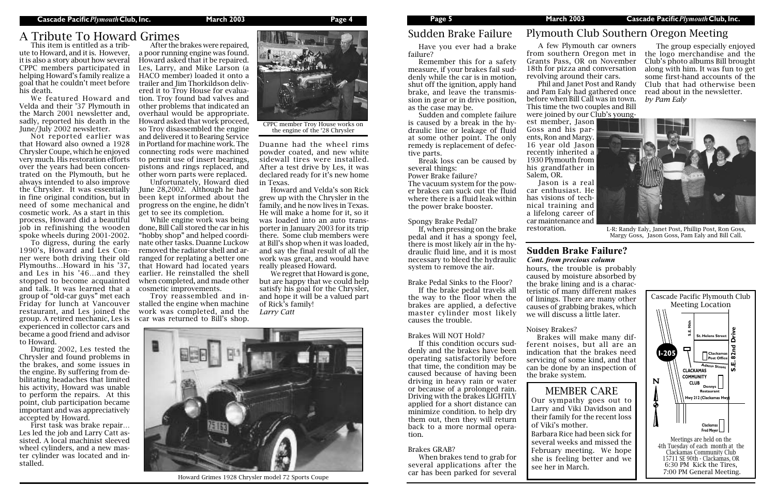A few Plymouth car owners Grants Pass, OR on November 18th for pizza and conversation revolving around their cars.

Phil and Janet Post and Randy and Pam Ealy had gathered once read about in the newsletter. before when Bill Call was in town. This time the two couples and Bill were joined by our Club's youngest member, Jason Goss and his parents, Ron and Margy. 16 year old Jason recently inherited a 1930 Plymouth from his grandfather in Salem, OR.

from southern Oregon met in the logo merchandise and the The group especially enjoyed Club's photo albums Bill brought along with him. It was fun to get some first-hand accounts of the Club that had otherwise been *by Pam Ealy*

Jason is a real car enthusiast. He has visions of technical training and a lifelong career of car maintenance and restoration.

# Plymouth Club Southern Oregon Meeting



L-R: Randy Ealy, Janet Post, Phillip Post, Ron Goss, Margy Goss, Jason Goss, Pam Ealy and Bill Call.

### **Sudden Brake Failure?**  *Cont. from precious column*

Have you ever had a brake failure?

Remember this for a safety measure, if your brakes fail suddenly while the car is in motion, shut off the ignition, apply hand brake, and leave the transmission in gear or in drive position, as the case may be.

Sudden and complete failure is caused by a break in the hydraulic line or leakage of fluid at some other point. The only remedy is replacement of defective parts.

Break loss can be caused by several things:

Power Brake failure? The vacuum system for the power brakes can suck out the fluid where there is a fluid leak within the power brake booster.

### Spongy Brake Pedal?

If, when pressing on the brake pedal and it has a spongy feel, there is most likely air in the hydraulic fluid line, and it is most necessary to bleed the hydraulic system to remove the air.

### Brake Pedal Sinks to the Floor?

If the brake pedal travels all the way to the floor when the brakes are applied, a defective master cylinder most likely causes the trouble.

### Brakes Will NOT Hold?

If this condition occurs suddenly and the brakes have been operating satisfactorily before that time, the condition may be caused because of having been driving in heavy rain or water or because of a prolonged rain. Driving with the brakes LIGHTLY applied for a short distance can minimize condition. to help dry them out, then they will return back to a more normal operation.

### Brakes GRAB?

When brakes tend to grab for several applications after the car has been parked for several hours, the trouble is probably caused by moisture absorbed by the brake lining and is a characteristic of many different makes of linings. There are many other causes of grabbing brakes, which we will discuss a little later.

Noisey Brakes?

Brakes will make many different noises, but all are an indication that the brakes need servicing of some kind, and that can be done by an inspection of the brake system.

This item is entitled as a tribute to Howard, and it is. However, it is also a story about how several CPPC members participated in helping Howard's family realize a goal that he couldn't meet before his death.

We featured Howard and Velda and their '37 Plymouth in the March 2001 newsletter and, sadly, reported his death in the June/July 2002 newsletter.

Not reported earlier was that Howard also owned a 1928 Chrysler Coupe, which he enjoyed very much. His restoration efforts over the years had been concentrated on the Plymouth, but he always intended to also improve the Chrysler. It was essentially in fine original condition, but in need of some mechanical and cosmetic work. As a start in this process, Howard did a beautiful job in refinishing the wooden spoke wheels during 2001-2002.

To digress, during the early 1990's, Howard and Les Conner were both driving their old Plymouths…Howard in his '37, and Les in his '46…and they stopped to become acquainted and talk. It was learned that a group of "old-car guys" met each Friday for lunch at Vancouver restaurant, and Les joined the group. A retired mechanic, Les is experienced in collector cars and became a good friend and advisor to Howard.

During 2002, Les tested the Chrysler and found problems in the brakes, and some issues in the engine. By suffering from debilitating headaches that limited his activity, Howard was unable to perform the repairs. At this point, club participation became important and was appreciatively accepted by Howard.

First task was brake repair… Les led the job and Larry Catt assisted. A local machinist sleeved wheel cylinders, and a new master cylinder was located and installed.

After the brakes were repaired, a poor running engine was found. Howard asked that it be repaired. Les, Larry, and Mike Larson (a HACO member) loaded it onto a trailer and Jim Thorkildson delivered it to Troy House for evaluation. Troy found bad valves and other problems that indicated an overhaul would be appropriate. Howard asked that work proceed, so Troy disassembled the engine and delivered it to Bearing Service in Portland for machine work. The connecting rods were machined to permit use of insert bearings, pistons and rings replaced, and other worn parts were replaced.

Unfortunately, Howard died June 28,2002. Although he had been kept informed about the progress on the engine, he didn't get to see its completion.

While engine work was being done, Bill Call stored the car in his "hobby shop" and helped coordinate other tasks. Duanne Luckow removed the radiator shell and arranged for replating a better one that Howard had located years earlier. He reinstalled the shell when completed, and made other cosmetic improvements.

Troy reassembled and installed the engine when machine work was completed, and the car was returned to Bill's shop.

Duanne had the wheel rims powder coated, and new white sidewall tires were installed. After a test drive by Les, it was declared ready for it's new home in Texas.

Howard and Velda's son Rick grew up with the Chrysler in the family, and he now lives in Texas. He will make a home for it, so it was loaded into an auto transporter in January 2003 for its trip there. Some club members were at Bill's shop when it was loaded, and say the final result of all the work was great, and would have really pleased Howard.

We regret that Howard is gone, but are happy that we could help satisfy his goal for the Chrysler, and hope it will be a valued part of Rick's family! *Larry Catt*

# A Tribute To Howard Grimes



Howard Grimes 1928 Chrysler model 72 Sports Coupe

## Sudden Brake Failure

### MEMBER CARE

Our sympathy goes out to Larry and Viki Davidson and their family for the recent loss of Viki's mother. Barbara Rice had been sick for several weeks and missed the February meeting. We hope she is feeling better and we see her in March.





CPPC member Troy House works on the engine of the '28 Chrysler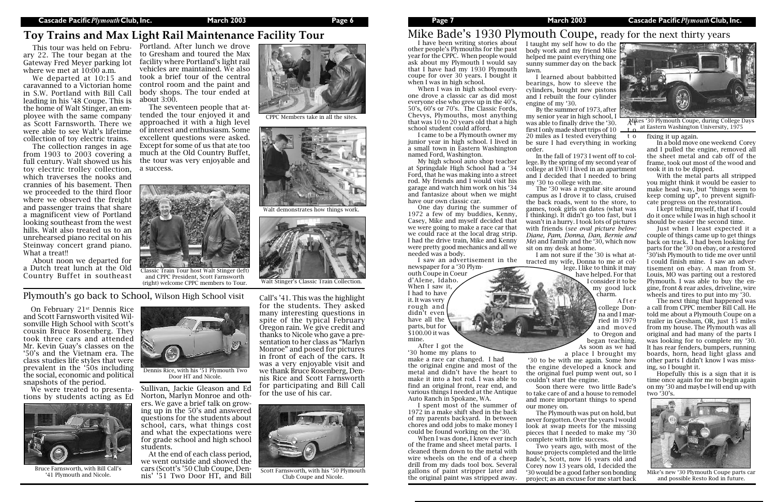I have been writing stories about other people's Plymouths for the past year for the CPPC. When people would ask about my Plymouth I would say that I have had my 1930 Plymouth coupe for over 30 years. I bought it when I was in high school.

When I was in high school everyone drove a classic car as did most everyone else who grew up in the 40's, 50's, 60's or 70's. The Classic Fords, Chevys, Plymouths, most anything that was 10 to 20 years old that a high school student could afford.

I came to be a Plymouth owner my junior year in high school. I lived in a small town in Eastern Washington named Ford, Washington.

My high school auto shop teacher at Springdale High School had a '34 Ford, that he was making into a street rod. My friends and I would visit his garage and watch him work on his '34 and fantasize about when we might have our own classic car.

One day during the summer of 1972 a few of my buddies, Kenny, Casey, Mike and myself decided that we were going to make a race car that we could race at the local drag strip. I had the drive train, Mike and Kenny were pretty good mechanics and all we needed was a body.

When I was done. I knew ever inch of the frame and sheet metal parts. I cleaned them down to the metal with wire wheels on the end of a cheep drill from my dads tool box. Several gallons of paint stripper later and the original paint was stripped away.

I taught my self how to do the  $\overline{\phantom{a}}$ body work and my friend Mike helped me paint everything one sunny summer day on the back

By the summer of 1973, after my senior year in high school, I was able to finally drive the '30. first I only made short trips of  $10$ 

I saw an advertisement in the newspaper for a '30 Plym20 miles as I tested everything to be sure I had everything in working

outh Coupe in Coeur d'Alene, Idaho. When I saw it, I had to have it. It was very rough and didn't even have all the parts, but for \$100.00 it was mine. After I got the

'30 home my plans to make a race car changed. I had the original engine and most of the metal and didn't have the heart to make it into a hot rod. I was able to find an original front, rear end, and various things I needed at the Antique Auto Ranch in Spokane, WA.

I spent most of the summer of 1972 in a make shift shed in the back of my parents backyard. In between chores and odd jobs to make money I could be found working on the '30.

lawn.

I learned about babbitted bearings, how to sleeve the cylinders, bought new pistons and I rebuilt the four cylinder engine of my '30.

order.

In the fall of 1973 I went off to college. By the spring of my second year of college at EWU I lived in an apartment and I decided that I needed to bring my '30 to college with me.

The '30 was a regular site around campus as I drove it to class, cruised the back roads, went to the store, to games, took girls on dates (what was I thinking). It didn't go too fast, but I wasn't in a hurry. I took lots of pictures with friends (*see oval picture below: Diane, Pam, Donna, Dan, Bernie and Me*) and family and the '30, which now sit on my desk at home.

The collection ranges in age from 1903 to 2003 covering a full century. Walt showed us his the tour was very enjoyable and toy electric trolley collection, which traverses the nooks and crannies of his basement. Then we proceeded to the third floor where we observed the freight and passenger trains that share a magnificent view of Portland looking southeast from the west hills. Walt also treated us to an unrehearsed piano recital on his Steinway concert grand piano. What a treat!!

I am not sure if the '30 is what attracted my wife, Donna to me at college. I like to think it may have helped. For that

I consider it to be my good luck charm.

A f t e r college Donna and I married in 1979 and moved to Oregon and began teaching. As soon as we had

a place I brought my '30 to be with me again. Some how the engine developed a knock and the original fuel pump went out, so I couldn't start the engine.

Soon there were two little Bade's to take care of and a house to remodel and more important things to spend

our money on.

At the end of each class period, we went outside and showed the cars (Scott's '50 Club Coupe, Dene Farnsworth, with Bill Call states of Cars (SCOTT State) Orline Club Coupe, Defi-<br>11 Plymouth and Nicole. This' '51 Two Door HT, and Bill Club Coupe and Nicole.

The Plymouth was put on hold, but never forgotten. Over the years I would look at swap meets for the missing pieces that I needed to make my '30



complete with little success. Two years ago, with most of the house projects completed and the little Bade's, Scott, now 16 years old and Corey now 13 years old, I decided the '30 would be a good father son bonding project; as an excuse for me start back

fixing it up again.

In a bold move one weekend Corey and I pulled the engine, removed all the sheet metal and cab off of the frame, took out most of the wood and took it in to be dipped.

With the metal parts all stripped you might think it would be easier to make head way, but "things seem to keep coming up", to prevent significate progress on the restoration.

and CPPC President, Scott Farnsworth (right) welcome CPPC members to Tour. Walt Stinger's Classic Train Collection.

I kept telling myself, that if I could do it once while I was in high school it should be easier the second time.

Just when I least expected it a couple of things came up to get things back on track. I had been looking for parts for the '30 on ebay, or a restored '30'ish Plymouth to tide me over until I could finish mine. I saw an advertisement on ebay. A man from St. Louis, MO was parting out a restored Plymouth. I was able to buy the engine, front & rear axles, driveline, wire wheels and tires to put into my '30.

The next thing that happened was a call from CPPC member Bill Call. He told me about a Plymouth Coupe on a trailer in Gresham, OR, just 15 miles from my house. The Plymouth was all original and had many of the parts I was looking for to complete my '30. It has rear fenders, bumpers, running boards, horn, head light glass and other parts I didn't know I was missing, so I bought it.

Hopefully this is a sign that it is time once again for me to begin again on my '30 and maybe I will end up with two '30's.

# Mike Bade's 1930 Plymouth Coupe, ready for the next thirty years

Mikes '30 Plymouth Coupe, during College Days at Eastern Washington University, 1975



Mike's new '30 Plymouth Coupe parts car and possible Resto Rod in future.

# **Toy Trains and Max Light Rail Maintenance Facility Tour**

### Plymouth's go back to School, Wilson High School visit

Gateway Fred Meyer parking lot where we met at 10:00 a.m.

caravanned to a Victorian home in S.W. Portland with Bill Call leading in his '48 Coupe. This is the home of Walt Stinger, an employee with the same company as Scott Farnsworth. There we were able to see Walt's lifetime collection of toy electric trains.

About noon we departed for a Dutch treat lunch at the Old Country Buffet in southeast

This tour was held on Febru-Portland. After lunch we drove ary 22. The tour began at the to Gresham and toured the Max We departed at 10:15 and took a brief tour of the central facility where Portland's light rail vehicles are maintained. We also control room and the paint and body shops. The tour ended at about 3:00.

On February 21st Dennis Rice and Scott Farnsworth visited Wilsonville High School with Scott's cousin Bruce Rosenberg. They took three cars and attended Mr. Kevin Guay's classes on the '50's and the Vietnam era. The class studies life styles that were prevalent in the '50s including the social, economic and political snapshots of the period.

We were treated to presentations by students acting as Ed

Sullivan, Jackie Gleason and Ed Norton, Marlyn Monroe and others. We gave a brief talk on growing up in the 50's and answered questions for the students about school, cars, what things cost and what the expectations were for grade school and high school students.

The seventeen people that attended the tour enjoyed it and approached it with a high level of interest and enthusiasm. Some excellent questions were asked. Except for some of us that ate too much at the Old Country Buffet, a success.

> Call's '41. This was the highlight for the students. They asked many interesting questions in spite of the typical February Oregon rain. We give credit and thanks to Nicole who gave a presentation to her class as "Marlyn Monroe" and posed for pictures in front of each of the cars. It was a very enjoyable visit and we thank Bruce Rosenberg, Dennis Rice and Scott Farnsworth for participating and Bill Call for the use of his car.



Bruce Farnsworth, with Bill Call's



Club Coupe and Nicole.



Dennis Rice, with his '51 Plymouth Two Door HT and Nicole.



CPPC Members take in all the sites.



Walt demonstrates how things work.